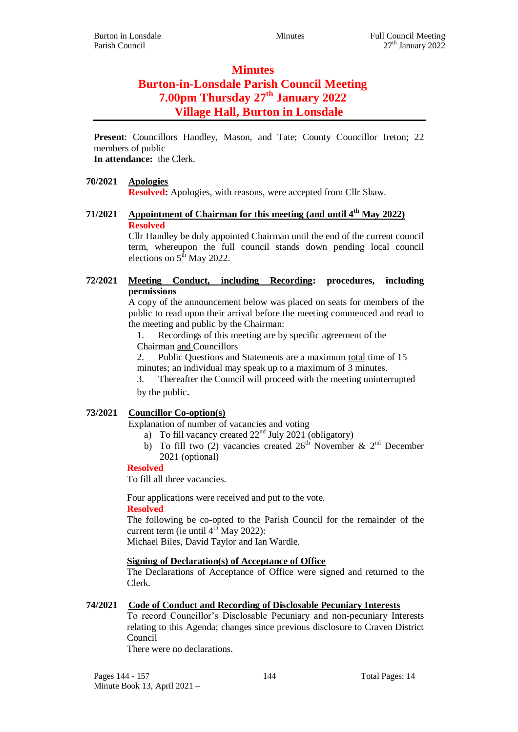# **Minutes Burton-in-Lonsdale Parish Council Meeting 7.00pm Thursday 27th January 2022 Village Hall, Burton in Lonsdale**

**Present**: Councillors Handley, Mason, and Tate; County Councillor Ireton; 22 members of public

**In attendance:** the Clerk.

# **70/2021 Apologies**

**Resolved:** Apologies, with reasons, were accepted from Cllr Shaw.

# **71/2021 Appointment of Chairman for this meeting (and until 4th May 2022) Resolved**

Cllr Handley be duly appointed Chairman until the end of the current council term, whereupon the full council stands down pending local council elections on  $5<sup>th</sup>$  May 2022.

# **72/2021 Meeting Conduct, including Recording: procedures, including permissions**

A copy of the announcement below was placed on seats for members of the public to read upon their arrival before the meeting commenced and read to the meeting and public by the Chairman:

1. Recordings of this meeting are by specific agreement of the Chairman and Councillors

2. Public Questions and Statements are a maximum total time of 15 minutes; an individual may speak up to a maximum of 3 minutes.

3. Thereafter the Council will proceed with the meeting uninterrupted by the public.

# **73/2021 Councillor Co-option(s)**

Explanation of number of vacancies and voting

- a) To fill vacancy created  $22<sup>nd</sup>$  July 2021 (obligatory)
- b) To fill two (2) vacancies created  $26<sup>th</sup>$  November &  $2<sup>nd</sup>$  December 2021 (optional)

# **Resolved**

To fill all three vacancies.

Four applications were received and put to the vote.

#### **Resolved**

The following be co-opted to the Parish Council for the remainder of the current term (ie until  $4^{th}$  May 2022):

Michael Biles, David Taylor and Ian Wardle.

# **Signing of Declaration(s) of Acceptance of Office**

The Declarations of Acceptance of Office were signed and returned to the Clerk.

# **74/2021 Code of Conduct and Recording of Disclosable Pecuniary Interests**

To record Councillor's Disclosable Pecuniary and non-pecuniary Interests relating to this Agenda; changes since previous disclosure to Craven District Council

There were no declarations.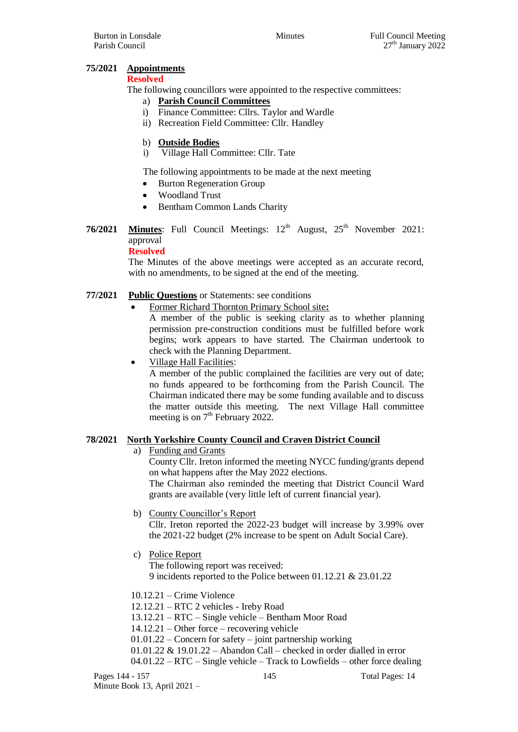## **75/2021 Appointments**

#### **Resolved**

The following councillors were appointed to the respective committees:

- a) **Parish Council Committees**
- i) Finance Committee: Cllrs. Taylor and Wardle
- ii) Recreation Field Committee: Cllr. Handley

## b) **Outside Bodies**

i) Village Hall Committee: Cllr. Tate

The following appointments to be made at the next meeting

- Burton Regeneration Group
- Woodland Trust
- Bentham Common Lands Charity
- **76/2021 Minutes**: Full Council Meetings: 12<sup>th</sup> August, 25<sup>th</sup> November 2021: approval

## **Resolved**

The Minutes of the above meetings were accepted as an accurate record, with no amendments, to be signed at the end of the meeting.

## **77/2021 Public Questions** or Statements: see conditions

Former Richard Thornton Primary School site**:**

A member of the public is seeking clarity as to whether planning permission pre-construction conditions must be fulfilled before work begins; work appears to have started. The Chairman undertook to check with the Planning Department.

• Village Hall Facilities:

A member of the public complained the facilities are very out of date; no funds appeared to be forthcoming from the Parish Council. The Chairman indicated there may be some funding available and to discuss the matter outside this meeting. The next Village Hall committee meeting is on  $7<sup>th</sup>$  February 2022.

#### **78/2021 North Yorkshire County Council and Craven District Council**

a) Funding and Grants

County Cllr. Ireton informed the meeting NYCC funding/grants depend on what happens after the May 2022 elections.

The Chairman also reminded the meeting that District Council Ward grants are available (very little left of current financial year).

b) County Councillor's Report

Cllr. Ireton reported the 2022-23 budget will increase by 3.99% over the 2021-22 budget (2% increase to be spent on Adult Social Care).

- c) Police Report
	- The following report was received: 9 incidents reported to the Police between 01.12.21 & 23.01.22
- 10.12.21 Crime Violence
- 12.12.21 RTC 2 vehicles Ireby Road
- 13.12.21 RTC Single vehicle Bentham Moor Road
- 14.12.21 Other force recovering vehicle
- 01.01.22 Concern for safety joint partnership working
- 01.01.22 & 19.01.22 Abandon Call checked in order dialled in error
- 04.01.22 RTC Single vehicle Track to Lowfields other force dealing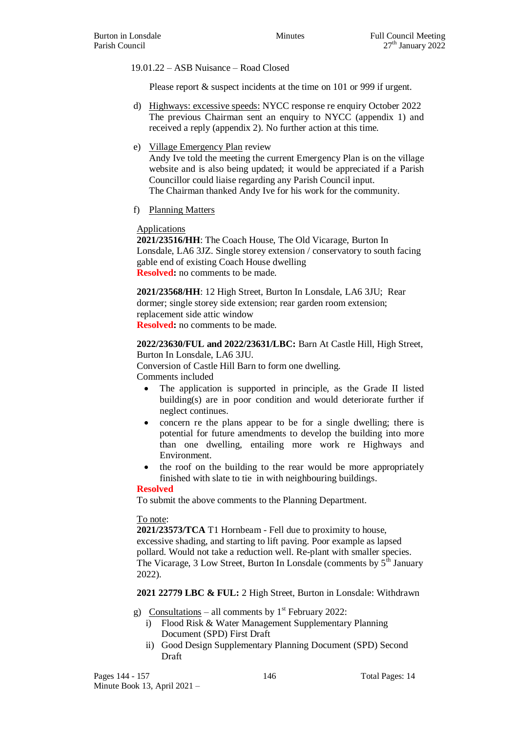19.01.22 – ASB Nuisance – Road Closed

Please report  $\&$  suspect incidents at the time on 101 or 999 if urgent.

- d) Highways: excessive speeds: NYCC response re enquiry October 2022 The previous Chairman sent an enquiry to NYCC (appendix 1) and received a reply (appendix 2). No further action at this time.
- e) Village Emergency Plan review Andy Ive told the meeting the current Emergency Plan is on the village website and is also being updated; it would be appreciated if a Parish Councillor could liaise regarding any Parish Council input. The Chairman thanked Andy Ive for his work for the community.
- f) Planning Matters

## Applications

**2021/23516/HH**: The Coach House, The Old Vicarage, Burton In Lonsdale, LA6 3JZ. Single storey extension / conservatory to south facing gable end of existing Coach House dwelling **Resolved:** no comments to be made.

**2021/23568/HH**: 12 High Street, Burton In Lonsdale, LA6 3JU; Rear dormer; single storey side extension; rear garden room extension; replacement side attic window **Resolved:** no comments to be made.

**2022/23630/FUL and 2022/23631/LBC:** Barn At Castle Hill, High Street, Burton In Lonsdale, LA6 3JU.

Conversion of Castle Hill Barn to form one dwelling. Comments included

- The application is supported in principle, as the Grade II listed building(s) are in poor condition and would deteriorate further if neglect continues.
- concern re the plans appear to be for a single dwelling; there is potential for future amendments to develop the building into more than one dwelling, entailing more work re Highways and Environment.
- the roof on the building to the rear would be more appropriately finished with slate to tie in with neighbouring buildings.

#### **Resolved**

To submit the above comments to the Planning Department.

# To note:

**2021/23573/TCA** T1 Hornbeam - Fell due to proximity to house, excessive shading, and starting to lift paving. Poor example as lapsed pollard. Would not take a reduction well. Re-plant with smaller species. The Vicarage,  $3$  Low Street, Burton In Lonsdale (comments by  $5<sup>th</sup>$  January 2022).

**2021 22779 LBC & FUL:** 2 High Street, Burton in Lonsdale: Withdrawn

g) Consultations – all comments by  $1<sup>st</sup>$  February 2022:

- i) Flood Risk & Water Management Supplementary Planning Document (SPD) First Draft
- ii) Good Design Supplementary Planning Document (SPD) Second Draft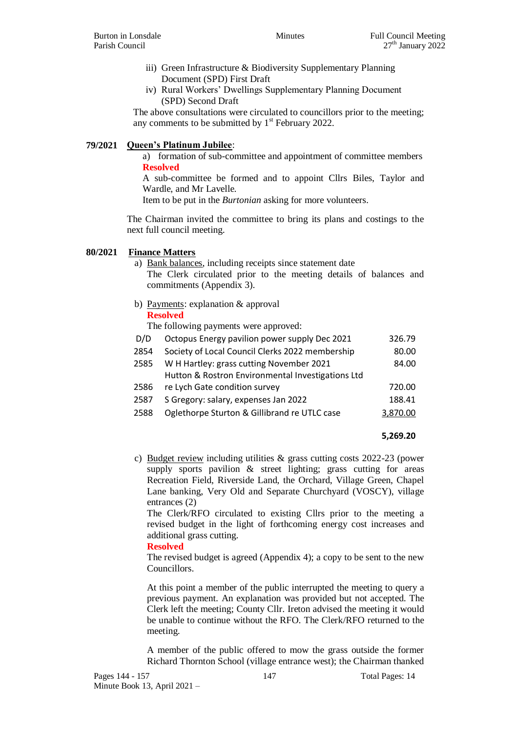- iii) Green Infrastructure & Biodiversity Supplementary Planning Document (SPD) First Draft
- iv) Rural Workers' Dwellings Supplementary Planning Document (SPD) Second Draft

The above consultations were circulated to councillors prior to the meeting; any comments to be submitted by  $1<sup>st</sup>$  February 2022.

## **79/2021 Queen's Platinum Jubilee**:

a) formation of sub-committee and appointment of committee members **Resolved**

A sub-committee be formed and to appoint Cllrs Biles, Taylor and Wardle, and Mr Lavelle.

Item to be put in the *Burtonian* asking for more volunteers.

The Chairman invited the committee to bring its plans and costings to the next full council meeting.

#### **80/2021 Finance Matters**

- a) Bank balances, including receipts since statement date The Clerk circulated prior to the meeting details of balances and commitments (Appendix 3).
- b) Payments: explanation & approval

## **Resolved**

The following payments were approved:

| D/D  | Octopus Energy pavilion power supply Dec 2021     | 326.79   |
|------|---------------------------------------------------|----------|
| 2854 | Society of Local Council Clerks 2022 membership   | 80.00    |
| 2585 | W H Hartley: grass cutting November 2021          | 84.00    |
|      | Hutton & Rostron Environmental Investigations Ltd |          |
| 2586 | re Lych Gate condition survey                     | 720.00   |
| 2587 | S Gregory: salary, expenses Jan 2022              | 188.41   |
| 2588 | Oglethorpe Sturton & Gillibrand re UTLC case      | 3.870.00 |
|      |                                                   |          |

#### **5,269.20**

c) Budget review including utilities & grass cutting costs 2022-23 (power supply sports pavilion & street lighting; grass cutting for areas Recreation Field, Riverside Land, the Orchard, Village Green, Chapel Lane banking, Very Old and Separate Churchyard (VOSCY), village entrances (2)

The Clerk/RFO circulated to existing Cllrs prior to the meeting a revised budget in the light of forthcoming energy cost increases and additional grass cutting.

#### **Resolved**

The revised budget is agreed (Appendix 4); a copy to be sent to the new Councillors.

At this point a member of the public interrupted the meeting to query a previous payment. An explanation was provided but not accepted. The Clerk left the meeting; County Cllr. Ireton advised the meeting it would be unable to continue without the RFO. The Clerk/RFO returned to the meeting.

A member of the public offered to mow the grass outside the former Richard Thornton School (village entrance west); the Chairman thanked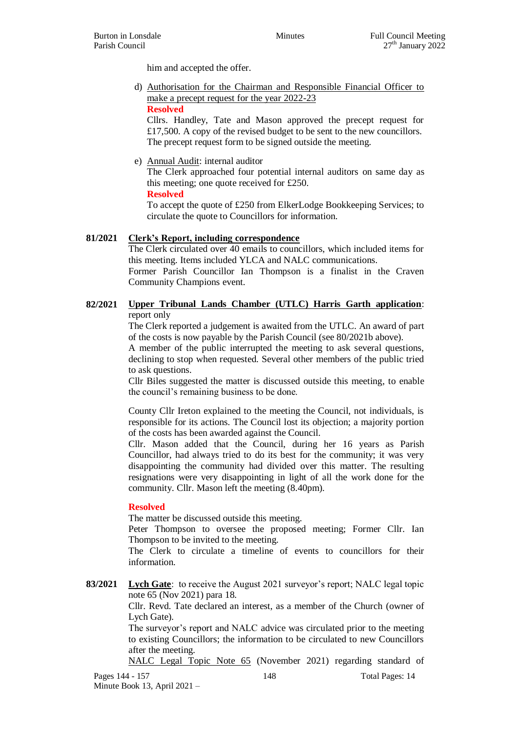him and accepted the offer.

d) Authorisation for the Chairman and Responsible Financial Officer to make a precept request for the year 2022-23 **Resolved**

Cllrs. Handley, Tate and Mason approved the precept request for £17,500. A copy of the revised budget to be sent to the new councillors. The precept request form to be signed outside the meeting.

e) Annual Audit: internal auditor

The Clerk approached four potential internal auditors on same day as this meeting; one quote received for £250.

**Resolved**

To accept the quote of £250 from ElkerLodge Bookkeeping Services; to circulate the quote to Councillors for information.

## **81/2021 Clerk's Report, including correspondence**

The Clerk circulated over 40 emails to councillors, which included items for this meeting. Items included YLCA and NALC communications.

Former Parish Councillor Ian Thompson is a finalist in the Craven Community Champions event.

**82/2021 Upper Tribunal Lands Chamber (UTLC) Harris Garth application**: report only

> The Clerk reported a judgement is awaited from the UTLC. An award of part of the costs is now payable by the Parish Council (see 80/2021b above).

> A member of the public interrupted the meeting to ask several questions, declining to stop when requested. Several other members of the public tried to ask questions.

> Cllr Biles suggested the matter is discussed outside this meeting, to enable the council's remaining business to be done.

> County Cllr Ireton explained to the meeting the Council, not individuals, is responsible for its actions. The Council lost its objection; a majority portion of the costs has been awarded against the Council.

> Cllr. Mason added that the Council, during her 16 years as Parish Councillor, had always tried to do its best for the community; it was very disappointing the community had divided over this matter. The resulting resignations were very disappointing in light of all the work done for the community. Cllr. Mason left the meeting (8.40pm).

#### **Resolved**

The matter be discussed outside this meeting.

Peter Thompson to oversee the proposed meeting; Former Cllr. Ian Thompson to be invited to the meeting.

The Clerk to circulate a timeline of events to councillors for their information.

**83/2021 Lych Gate**: to receive the August 2021 surveyor's report; NALC legal topic note 65 (Nov 2021) para 18.

> Cllr. Revd. Tate declared an interest, as a member of the Church (owner of Lych Gate).

> The surveyor's report and NALC advice was circulated prior to the meeting to existing Councillors; the information to be circulated to new Councillors after the meeting.

> NALC Legal Topic Note 65 (November 2021) regarding standard of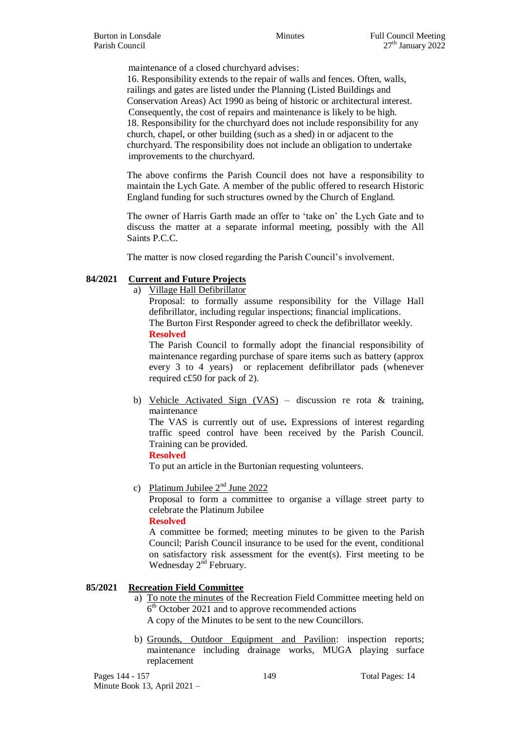maintenance of a closed churchyard advises:

16. Responsibility extends to the repair of walls and fences. Often, walls, railings and gates are listed under the Planning (Listed Buildings and Conservation Areas) Act 1990 as being of historic or architectural interest. Consequently, the cost of repairs and maintenance is likely to be high. 18. Responsibility for the churchyard does not include responsibility for any church, chapel, or other building (such as a shed) in or adjacent to the churchyard. The responsibility does not include an obligation to undertake improvements to the churchyard.

The above confirms the Parish Council does not have a responsibility to maintain the Lych Gate. A member of the public offered to research Historic England funding for such structures owned by the Church of England.

The owner of Harris Garth made an offer to 'take on' the Lych Gate and to discuss the matter at a separate informal meeting, possibly with the All Saints P.C.C.

The matter is now closed regarding the Parish Council's involvement.

# **84/2021 Current and Future Projects**

a) Village Hall Defibrillator

Proposal: to formally assume responsibility for the Village Hall defibrillator, including regular inspections; financial implications. The Burton First Responder agreed to check the defibrillator weekly. **Resolved**

The Parish Council to formally adopt the financial responsibility of maintenance regarding purchase of spare items such as battery (approx every 3 to 4 years) or replacement defibrillator pads (whenever required c£50 for pack of 2).

b) Vehicle Activated Sign (VAS) – discussion re rota & training, maintenance

The VAS is currently out of use**.** Expressions of interest regarding traffic speed control have been received by the Parish Council. Training can be provided.

**Resolved**

To put an article in the Burtonian requesting volunteers.

c) Platinum Jubilee  $2<sup>nd</sup>$  June 2022

Proposal to form a committee to organise a village street party to celebrate the Platinum Jubilee

**Resolved**

A committee be formed; meeting minutes to be given to the Parish Council; Parish Council insurance to be used for the event, conditional on satisfactory risk assessment for the event(s). First meeting to be Wednesday 2<sup>nd</sup> February.

# **85/2021 Recreation Field Committee**

- a) To note the minutes of the Recreation Field Committee meeting held on 6<sup>th</sup> October 2021 and to approve recommended actions A copy of the Minutes to be sent to the new Councillors.
- b) Grounds, Outdoor Equipment and Pavilion: inspection reports; maintenance including drainage works, MUGA playing surface replacement

Pages 144 - 157 149 149 Total Pages: 14 Minute Book 13, April 2021 –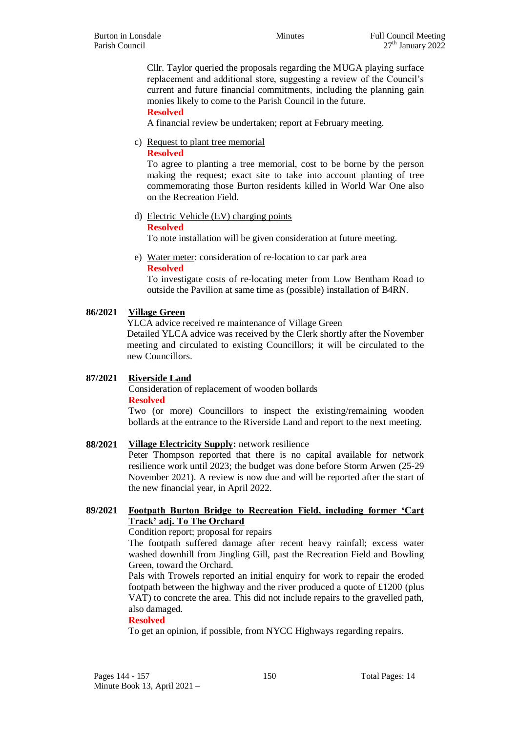Cllr. Taylor queried the proposals regarding the MUGA playing surface replacement and additional store, suggesting a review of the Council's current and future financial commitments, including the planning gain monies likely to come to the Parish Council in the future.

**Resolved**

A financial review be undertaken; report at February meeting.

c) Request to plant tree memorial

## **Resolved**

To agree to planting a tree memorial, cost to be borne by the person making the request; exact site to take into account planting of tree commemorating those Burton residents killed in World War One also on the Recreation Field.

d) Electric Vehicle (EV) charging points

#### **Resolved**

To note installation will be given consideration at future meeting.

e) Water meter: consideration of re-location to car park area **Resolved**

To investigate costs of re-locating meter from Low Bentham Road to outside the Pavilion at same time as (possible) installation of B4RN.

## **86/2021 Village Green**

YLCA advice received re maintenance of Village Green

Detailed YLCA advice was received by the Clerk shortly after the November meeting and circulated to existing Councillors; it will be circulated to the new Councillors.

# **87/2021 Riverside Land**

Consideration of replacement of wooden bollards **Resolved**

Two (or more) Councillors to inspect the existing/remaining wooden bollards at the entrance to the Riverside Land and report to the next meeting.

# **88/2021 Village Electricity Supply:** network resilience

Peter Thompson reported that there is no capital available for network resilience work until 2023; the budget was done before Storm Arwen (25-29 November 2021). A review is now due and will be reported after the start of the new financial year, in April 2022.

# **89/2021 Footpath Burton Bridge to Recreation Field, including former 'Cart Track' adj. To The Orchard**

#### Condition report; proposal for repairs

The footpath suffered damage after recent heavy rainfall; excess water washed downhill from Jingling Gill, past the Recreation Field and Bowling Green, toward the Orchard.

Pals with Trowels reported an initial enquiry for work to repair the eroded footpath between the highway and the river produced a quote of £1200 (plus VAT) to concrete the area. This did not include repairs to the gravelled path, also damaged.

#### **Resolved**

To get an opinion, if possible, from NYCC Highways regarding repairs.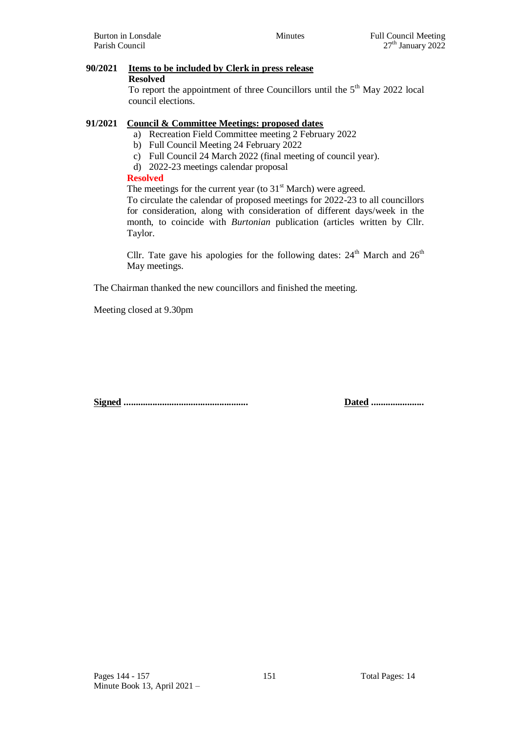# **91/2021 Council & Committee Meetings: proposed dates**

**90/2021 Items to be included by Clerk in press release**

- a) Recreation Field Committee meeting 2 February 2022
- b) Full Council Meeting 24 February 2022
- c) Full Council 24 March 2022 (final meeting of council year).
- d) 2022-23 meetings calendar proposal

# **Resolved**

The meetings for the current year (to  $31<sup>st</sup>$  March) were agreed. To circulate the calendar of proposed meetings for 2022-23 to all councillors for consideration, along with consideration of different days/week in the month, to coincide with *Burtonian* publication (articles written by Cllr. Taylor.

Cllr. Tate gave his apologies for the following dates:  $24<sup>th</sup>$  March and  $26<sup>th</sup>$ May meetings.

The Chairman thanked the new councillors and finished the meeting.

Meeting closed at 9.30pm

**Signed .................................................... Dated ......................**

**Resolved**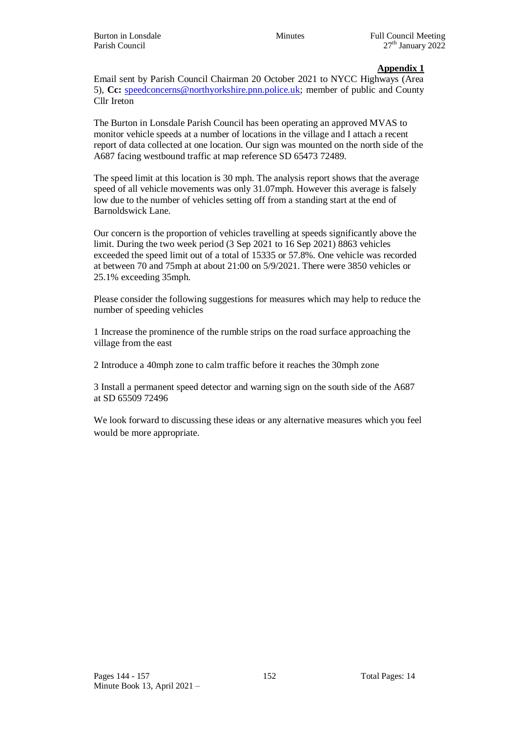Email sent by Parish Council Chairman 20 October 2021 to NYCC Highways (Area 5), **Cc:** [speedconcerns@northyorkshire.pnn.police.uk;](mailto:speedconcerns@northyorkshire.pnn.police.uk) member of public and County Cllr Ireton

The Burton in Lonsdale Parish Council has been operating an approved MVAS to monitor vehicle speeds at a number of locations in the village and I attach a recent report of data collected at one location. Our sign was mounted on the north side of the A687 facing westbound traffic at map reference SD 65473 72489.

The speed limit at this location is 30 mph. The analysis report shows that the average speed of all vehicle movements was only 31.07mph. However this average is falsely low due to the number of vehicles setting off from a standing start at the end of Barnoldswick Lane.

Our concern is the proportion of vehicles travelling at speeds significantly above the limit. During the two week period (3 Sep 2021 to 16 Sep 2021) 8863 vehicles exceeded the speed limit out of a total of 15335 or 57.8%. One vehicle was recorded at between 70 and 75mph at about 21:00 on 5/9/2021. There were 3850 vehicles or 25.1% exceeding 35mph.

Please consider the following suggestions for measures which may help to reduce the number of speeding vehicles

1 Increase the prominence of the rumble strips on the road surface approaching the village from the east

2 Introduce a 40mph zone to calm traffic before it reaches the 30mph zone

3 Install a permanent speed detector and warning sign on the south side of the A687 at SD 65509 72496

We look forward to discussing these ideas or any alternative measures which you feel would be more appropriate.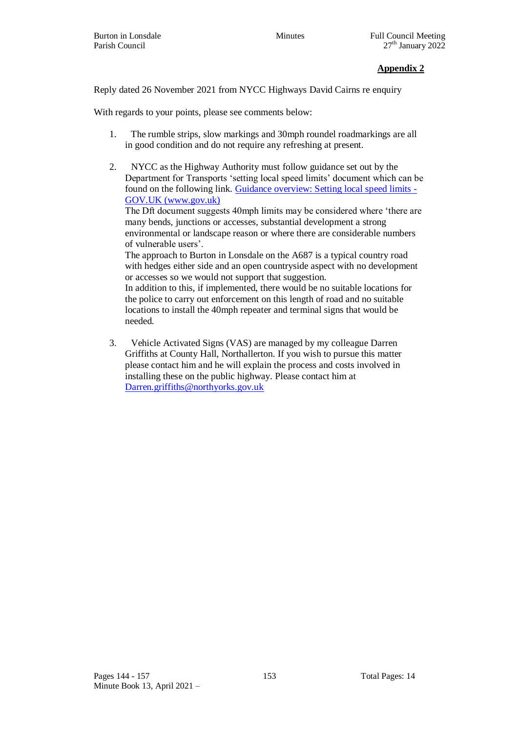Reply dated 26 November 2021 from NYCC Highways David Cairns re enquiry

With regards to your points, please see comments below:

- 1. The rumble strips, slow markings and 30mph roundel roadmarkings are all in good condition and do not require any refreshing at present.
- 2. NYCC as the Highway Authority must follow guidance set out by the Department for Transports 'setting local speed limits' document which can be found on the following link. [Guidance overview: Setting local speed limits -](https://www.gov.uk/government/publications/setting-local-speed-limits) [GOV.UK \(www.gov.uk\)](https://www.gov.uk/government/publications/setting-local-speed-limits)

The Dft document suggests 40mph limits may be considered where 'there are many bends, junctions or accesses, substantial development a strong environmental or landscape reason or where there are considerable numbers of vulnerable users'.

The approach to Burton in Lonsdale on the A687 is a typical country road with hedges either side and an open countryside aspect with no development or accesses so we would not support that suggestion.

In addition to this, if implemented, there would be no suitable locations for the police to carry out enforcement on this length of road and no suitable locations to install the 40mph repeater and terminal signs that would be needed.

3. Vehicle Activated Signs (VAS) are managed by my colleague Darren Griffiths at County Hall, Northallerton. If you wish to pursue this matter please contact him and he will explain the process and costs involved in installing these on the public highway. Please contact him at [Darren.griffiths@northyorks.gov.uk](mailto:Darren.griffiths@northyorks.gov.uk)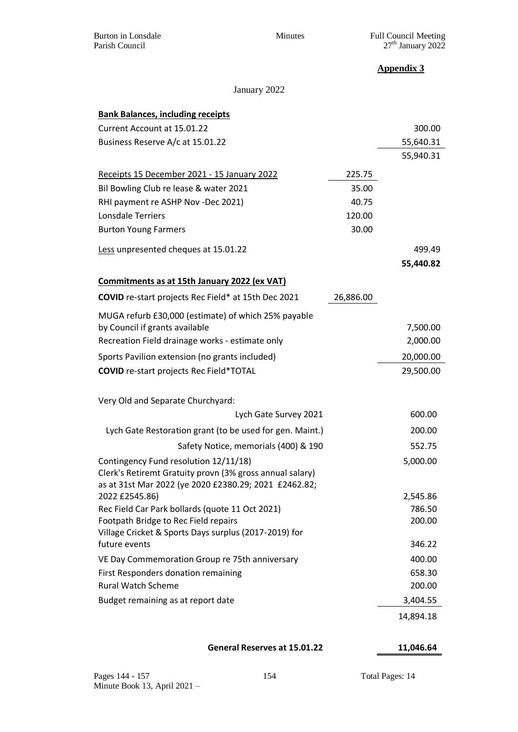January 2022

| <b>Bank Balances, including receipts</b>                                                |           |                    |
|-----------------------------------------------------------------------------------------|-----------|--------------------|
| Current Account at 15.01.22                                                             |           | 300.00             |
| Business Reserve A/c at 15.01.22                                                        |           | 55,640.31          |
|                                                                                         |           | 55,940.31          |
| Receipts 15 December 2021 - 15 January 2022                                             | 225.75    |                    |
| Bil Bowling Club re lease & water 2021                                                  | 35.00     |                    |
| RHI payment re ASHP Nov -Dec 2021)                                                      | 40.75     |                    |
| Lonsdale Terriers                                                                       | 120.00    |                    |
| <b>Burton Young Farmers</b>                                                             | 30.00     |                    |
| Less unpresented cheques at 15.01.22                                                    |           | 499.49             |
|                                                                                         |           | 55,440.82          |
| Commitments as at 15th January 2022 (ex VAT)                                            |           |                    |
| COVID re-start projects Rec Field* at 15th Dec 2021                                     | 26,886.00 |                    |
| MUGA refurb £30,000 (estimate) of which 25% payable                                     |           |                    |
| by Council if grants available                                                          |           | 7,500.00           |
| Recreation Field drainage works - estimate only                                         |           | 2,000.00           |
| Sports Pavilion extension (no grants included)                                          |           | 20,000.00          |
| <b>COVID</b> re-start projects Rec Field*TOTAL                                          |           | 29,500.00          |
|                                                                                         |           |                    |
| Very Old and Separate Churchyard:                                                       |           |                    |
| Lych Gate Survey 2021                                                                   |           | 600.00             |
| Lych Gate Restoration grant (to be used for gen. Maint.)                                |           | 200.00             |
| Safety Notice, memorials (400) & 190                                                    |           | 552.75             |
| Contingency Fund resolution 12/11/18)                                                   |           | 5,000.00           |
| Clerk's Retiremt Gratuity provn (3% gross annual salary)                                |           |                    |
| as at 31st Mar 2022 (ye 2020 £2380.29; 2021 £2462.82;                                   |           |                    |
| 2022 £2545.86)                                                                          |           | 2,545.86<br>786.50 |
| Rec Field Car Park bollards (quote 11 Oct 2021)<br>Footpath Bridge to Rec Field repairs |           | 200.00             |
| Village Cricket & Sports Days surplus (2017-2019) for                                   |           |                    |
| future events                                                                           |           | 346.22             |
| VE Day Commemoration Group re 75th anniversary                                          |           | 400.00             |
| First Responders donation remaining                                                     |           | 658.30             |
| <b>Rural Watch Scheme</b>                                                               |           | 200.00             |
| Budget remaining as at report date                                                      |           | 3,404.55           |
|                                                                                         |           | 14,894.18          |

**General Reserves at 15.01.22 11,046.64**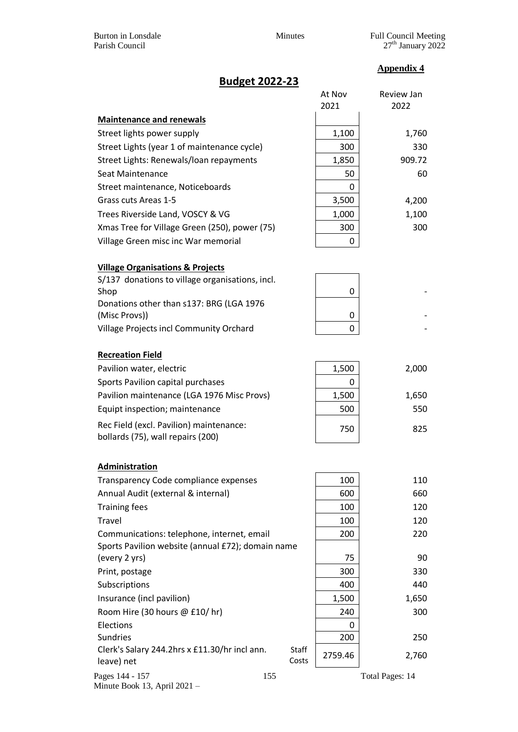# **Budget 2022-23**

|                                                        | At Nov  | Review Jan |
|--------------------------------------------------------|---------|------------|
|                                                        | 2021    | 2022       |
| <b>Maintenance and renewals</b>                        |         |            |
| Street lights power supply                             | 1,100   | 1,760      |
| Street Lights (year 1 of maintenance cycle)            | 300     | 330        |
| Street Lights: Renewals/loan repayments                | 1,850   | 909.72     |
| Seat Maintenance                                       | 50      | 60         |
| Street maintenance, Noticeboards                       | 0       |            |
| Grass cuts Areas 1-5                                   | 3,500   | 4,200      |
| Trees Riverside Land, VOSCY & VG                       | 1,000   | 1,100      |
| Xmas Tree for Village Green (250), power (75)          | 300     | 300        |
| Village Green misc inc War memorial                    | 0       |            |
| <b>Village Organisations &amp; Projects</b>            |         |            |
| S/137 donations to village organisations, incl.        |         |            |
| Shop                                                   | 0       |            |
| Donations other than s137: BRG (LGA 1976               |         |            |
| (Misc Provs))                                          | 0       |            |
| Village Projects incl Community Orchard                | 0       |            |
| <b>Recreation Field</b>                                |         |            |
| Pavilion water, electric                               | 1,500   | 2,000      |
| Sports Pavilion capital purchases                      | 0       |            |
| Pavilion maintenance (LGA 1976 Misc Provs)             | 1,500   | 1,650      |
| Equipt inspection; maintenance                         | 500     | 550        |
| Rec Field (excl. Pavilion) maintenance:                |         |            |
| bollards (75), wall repairs (200)                      | 750     | 825        |
| Administration                                         |         |            |
| Transparency Code compliance expenses                  | 100     | 110        |
| Annual Audit (external & internal)                     | 600     | 660        |
| <b>Training fees</b>                                   | 100     | 120        |
| Travel                                                 | 100     | 120        |
| Communications: telephone, internet, email             | 200     | 220        |
| Sports Pavilion website (annual £72); domain name      |         |            |
| (every 2 yrs)                                          | 75      | 90         |
| Print, postage                                         | 300     | 330        |
| Subscriptions                                          | 400     | 440        |
| Insurance (incl pavilion)                              | 1,500   | 1,650      |
| Room Hire (30 hours @ £10/hr)                          | 240     | 300        |
| Elections                                              | 0       |            |
| <b>Sundries</b>                                        | 200     | 250        |
| Clerk's Salary 244.2hrs x £11.30/hr incl ann.<br>Staff |         |            |
| leave) net<br>Costs                                    | 2759.46 | 2,760      |

Pages 144 - 157 155 155 Total Pages: 14 Minute Book 13, April 2021 –